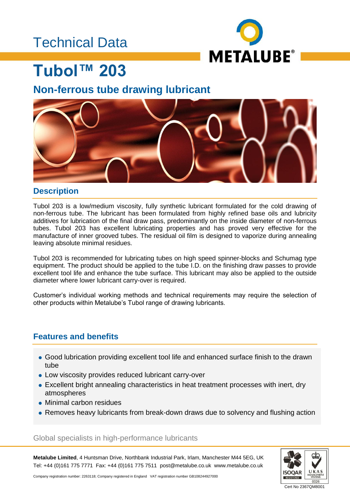## Technical Data



## **Tubol™ 203**

### **Non-ferrous tube drawing lubricant**



### **Description**

Tubol 203 is a low/medium viscosity, fully synthetic lubricant formulated for the cold drawing of non-ferrous tube. The lubricant has been formulated from highly refined base oils and lubricity additives for lubrication of the final draw pass, predominantly on the inside diameter of non-ferrous tubes. Tubol 203 has excellent lubricating properties and has proved very effective for the manufacture of inner grooved tubes. The residual oil film is designed to vaporize during annealing leaving absolute minimal residues.

Tubol 203 is recommended for lubricating tubes on high speed spinner-blocks and Schumag type equipment. The product should be applied to the tube I.D. on the finishing draw passes to provide excellent tool life and enhance the tube surface. This lubricant may also be applied to the outside diameter where lower lubricant carry-over is required.

Customer's individual working methods and technical requirements may require the selection of other products within Metalube's Tubol range of drawing lubricants.

### **Features and benefits**

- Good lubrication providing excellent tool life and enhanced surface finish to the drawn tube
- Low viscosity provides reduced lubricant carry-over
- Excellent bright annealing characteristics in heat treatment processes with inert, dry atmospheres
- Minimal carbon residues
- Removes heavy lubricants from break-down draws due to solvency and flushing action

Global specialists in high-performance lubricants

**Metalube Limited**, 4 Huntsman Drive, Northbank Industrial Park, Irlam, Manchester M44 5EG, UK Tel: +44 (0)161 775 7771 Fax: +44 (0)161 775 7511 post@metalube.co.uk www.metalube.co.uk



Company registration number: 2263118; Company registered in England VAT registration number GB108244927000